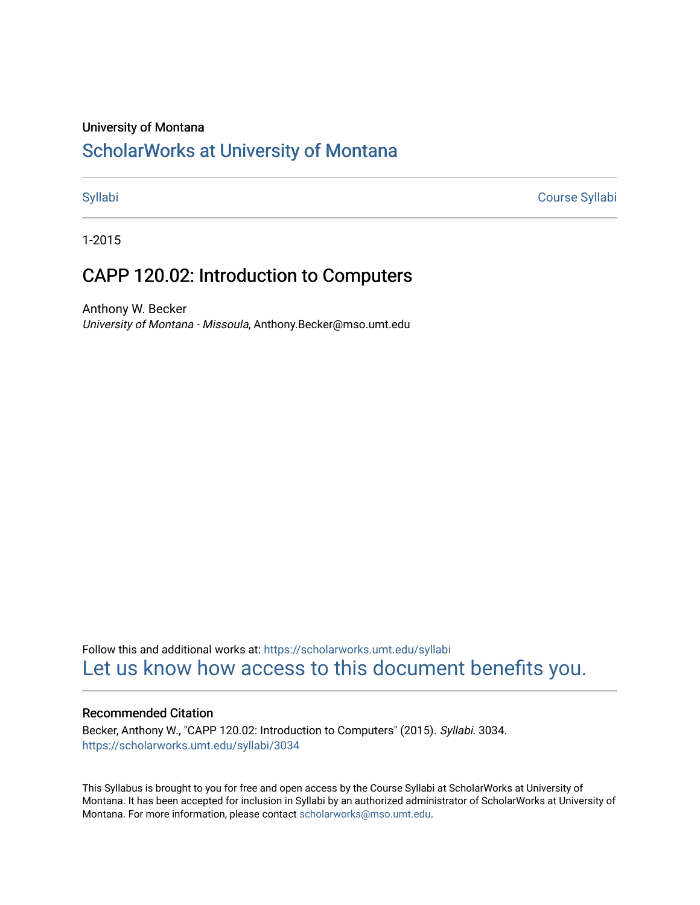#### University of Montana

## [ScholarWorks at University of Montana](https://scholarworks.umt.edu/)

[Syllabi](https://scholarworks.umt.edu/syllabi) [Course Syllabi](https://scholarworks.umt.edu/course_syllabi) 

1-2015

## CAPP 120.02: Introduction to Computers

Anthony W. Becker University of Montana - Missoula, Anthony.Becker@mso.umt.edu

Follow this and additional works at: [https://scholarworks.umt.edu/syllabi](https://scholarworks.umt.edu/syllabi?utm_source=scholarworks.umt.edu%2Fsyllabi%2F3034&utm_medium=PDF&utm_campaign=PDFCoverPages)  [Let us know how access to this document benefits you.](https://goo.gl/forms/s2rGfXOLzz71qgsB2) 

#### Recommended Citation

Becker, Anthony W., "CAPP 120.02: Introduction to Computers" (2015). Syllabi. 3034. [https://scholarworks.umt.edu/syllabi/3034](https://scholarworks.umt.edu/syllabi/3034?utm_source=scholarworks.umt.edu%2Fsyllabi%2F3034&utm_medium=PDF&utm_campaign=PDFCoverPages)

This Syllabus is brought to you for free and open access by the Course Syllabi at ScholarWorks at University of Montana. It has been accepted for inclusion in Syllabi by an authorized administrator of ScholarWorks at University of Montana. For more information, please contact [scholarworks@mso.umt.edu.](mailto:scholarworks@mso.umt.edu)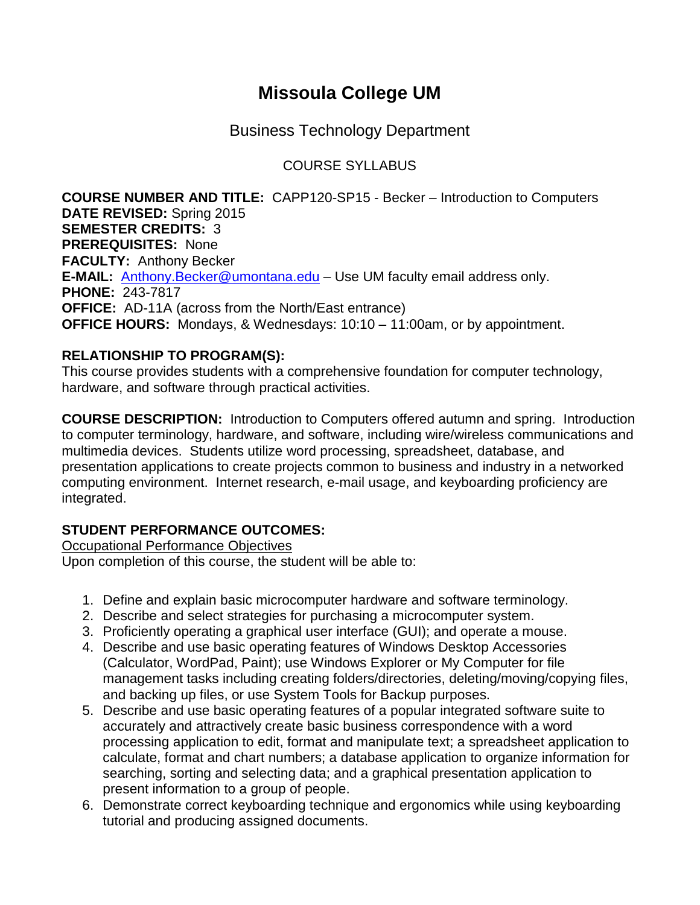# **Missoula College UM**

Business Technology Department

## COURSE SYLLABUS

**COURSE NUMBER AND TITLE:** CAPP120-SP15 - Becker – Introduction to Computers **DATE REVISED:** Spring 2015 **SEMESTER CREDITS:** 3 **PREREQUISITES:** None **FACULTY:** Anthony Becker **E-MAIL:** [Anthony.Becker@umontana.edu](mailto:Anthony.Becker@umontana.edu) – Use UM faculty email address only. **PHONE:** 243-7817 **OFFICE:** AD-11A (across from the North/East entrance) **OFFICE HOURS:** Mondays, & Wednesdays: 10:10 – 11:00am, or by appointment.

## **RELATIONSHIP TO PROGRAM(S):**

This course provides students with a comprehensive foundation for computer technology, hardware, and software through practical activities.

**COURSE DESCRIPTION:** Introduction to Computers offered autumn and spring. Introduction to computer terminology, hardware, and software, including wire/wireless communications and multimedia devices. Students utilize word processing, spreadsheet, database, and presentation applications to create projects common to business and industry in a networked computing environment. Internet research, e-mail usage, and keyboarding proficiency are integrated.

## **STUDENT PERFORMANCE OUTCOMES:**

Occupational Performance Objectives

Upon completion of this course, the student will be able to:

- 1. Define and explain basic microcomputer hardware and software terminology.
- 2. Describe and select strategies for purchasing a microcomputer system.
- 3. Proficiently operating a graphical user interface (GUI); and operate a mouse.
- 4. Describe and use basic operating features of Windows Desktop Accessories (Calculator, WordPad, Paint); use Windows Explorer or My Computer for file management tasks including creating folders/directories, deleting/moving/copying files, and backing up files, or use System Tools for Backup purposes.
- 5. Describe and use basic operating features of a popular integrated software suite to accurately and attractively create basic business correspondence with a word processing application to edit, format and manipulate text; a spreadsheet application to calculate, format and chart numbers; a database application to organize information for searching, sorting and selecting data; and a graphical presentation application to present information to a group of people.
- 6. Demonstrate correct keyboarding technique and ergonomics while using keyboarding tutorial and producing assigned documents.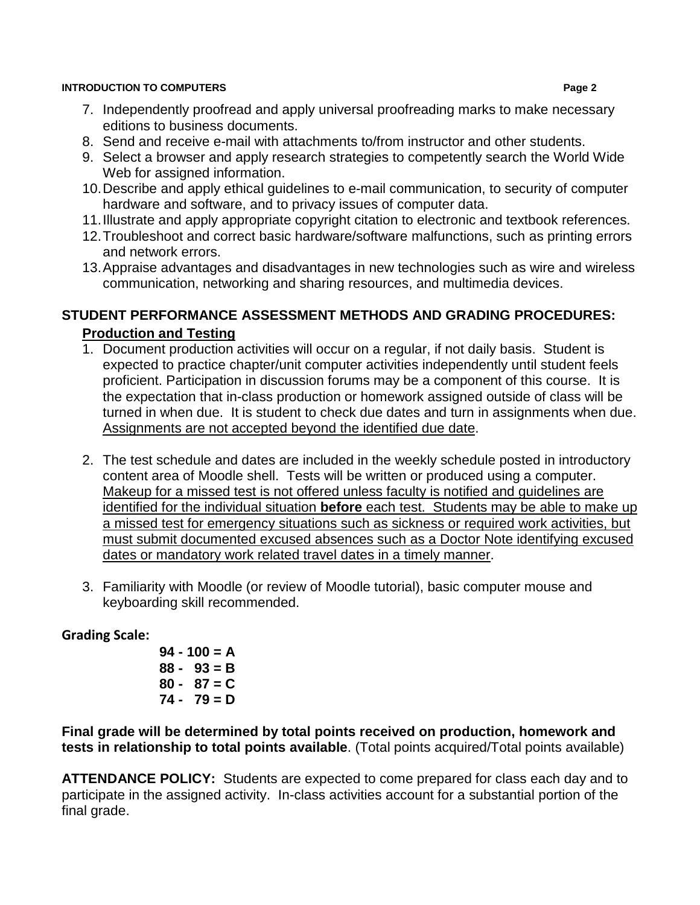- 7. Independently proofread and apply universal proofreading marks to make necessary editions to business documents.
- 8. Send and receive e-mail with attachments to/from instructor and other students.
- 9. Select a browser and apply research strategies to competently search the World Wide Web for assigned information.
- 10.Describe and apply ethical guidelines to e-mail communication, to security of computer hardware and software, and to privacy issues of computer data.
- 11.Illustrate and apply appropriate copyright citation to electronic and textbook references.
- 12.Troubleshoot and correct basic hardware/software malfunctions, such as printing errors and network errors.
- 13.Appraise advantages and disadvantages in new technologies such as wire and wireless communication, networking and sharing resources, and multimedia devices.

## **STUDENT PERFORMANCE ASSESSMENT METHODS AND GRADING PROCEDURES: Production and Testing**

- 1. Document production activities will occur on a regular, if not daily basis. Student is expected to practice chapter/unit computer activities independently until student feels proficient. Participation in discussion forums may be a component of this course. It is the expectation that in-class production or homework assigned outside of class will be turned in when due. It is student to check due dates and turn in assignments when due. Assignments are not accepted beyond the identified due date.
- 2. The test schedule and dates are included in the weekly schedule posted in introductory content area of Moodle shell. Tests will be written or produced using a computer. Makeup for a missed test is not offered unless faculty is notified and guidelines are identified for the individual situation **before** each test. Students may be able to make up a missed test for emergency situations such as sickness or required work activities, but must submit documented excused absences such as a Doctor Note identifying excused dates or mandatory work related travel dates in a timely manner.
- 3. Familiarity with Moodle (or review of Moodle tutorial), basic computer mouse and keyboarding skill recommended.

## **Grading Scale:**

 **94 - 100 = A 88 - 93 = B 80 - 87 = C 74 - 79 = D**

**Final grade will be determined by total points received on production, homework and tests in relationship to total points available**. (Total points acquired/Total points available)

**ATTENDANCE POLICY:** Students are expected to come prepared for class each day and to participate in the assigned activity. In-class activities account for a substantial portion of the final grade.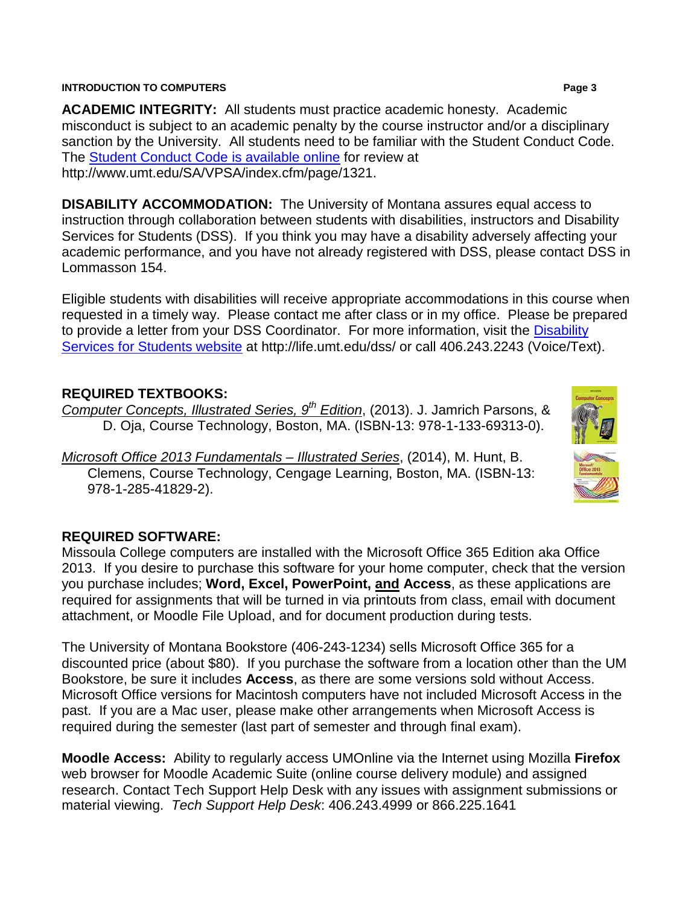**ACADEMIC INTEGRITY:** All students must practice academic honesty. Academic misconduct is subject to an academic penalty by the course instructor and/or a disciplinary sanction by the University. All students need to be familiar with the Student Conduct Code. The [Student Conduct Code is available online](http://www.umt.edu/SA/VPSA/index.cfm/page/1321) for review at http://www.umt.edu/SA/VPSA/index.cfm/page/1321.

**DISABILITY ACCOMMODATION:** The University of Montana assures equal access to instruction through collaboration between students with disabilities, instructors and Disability Services for Students (DSS). If you think you may have a disability adversely affecting your academic performance, and you have not already registered with DSS, please contact DSS in Lommasson 154.

Eligible students with disabilities will receive appropriate accommodations in this course when requested in a timely way. Please contact me after class or in my office. Please be prepared to provide a letter from your DSS Coordinator. For more information, visit the [Disability](http://life.umt.edu/dss/)  [Services for Students website](http://life.umt.edu/dss/) at http://life.umt.edu/dss/ or call 406.243.2243 (Voice/Text).

## **REQUIRED TEXTBOOKS:**

*Computer Concepts, Illustrated Series, 9th Edition*, (2013). J. Jamrich Parsons, & D. Oja, Course Technology, Boston, MA. (ISBN-13: 978-1-133-69313-0).

*Microsoft Office 2013 Fundamentals – Illustrated Series*, (2014), M. Hunt, B. Clemens, Course Technology, Cengage Learning, Boston, MA. (ISBN-13: 978-1-285-41829-2).

#### **REQUIRED SOFTWARE:**

Missoula College computers are installed with the Microsoft Office 365 Edition aka Office 2013. If you desire to purchase this software for your home computer, check that the version you purchase includes; **Word, Excel, PowerPoint, and Access**, as these applications are required for assignments that will be turned in via printouts from class, email with document attachment, or Moodle File Upload, and for document production during tests.

The University of Montana Bookstore (406-243-1234) sells Microsoft Office 365 for a discounted price (about \$80). If you purchase the software from a location other than the UM Bookstore, be sure it includes **Access**, as there are some versions sold without Access. Microsoft Office versions for Macintosh computers have not included Microsoft Access in the past. If you are a Mac user, please make other arrangements when Microsoft Access is required during the semester (last part of semester and through final exam).

**Moodle Access:** Ability to regularly access UMOnline via the Internet using Mozilla **Firefox** web browser for Moodle Academic Suite (online course delivery module) and assigned research. Contact Tech Support Help Desk with any issues with assignment submissions or material viewing. *Tech Support Help Desk*: 406.243.4999 or 866.225.1641

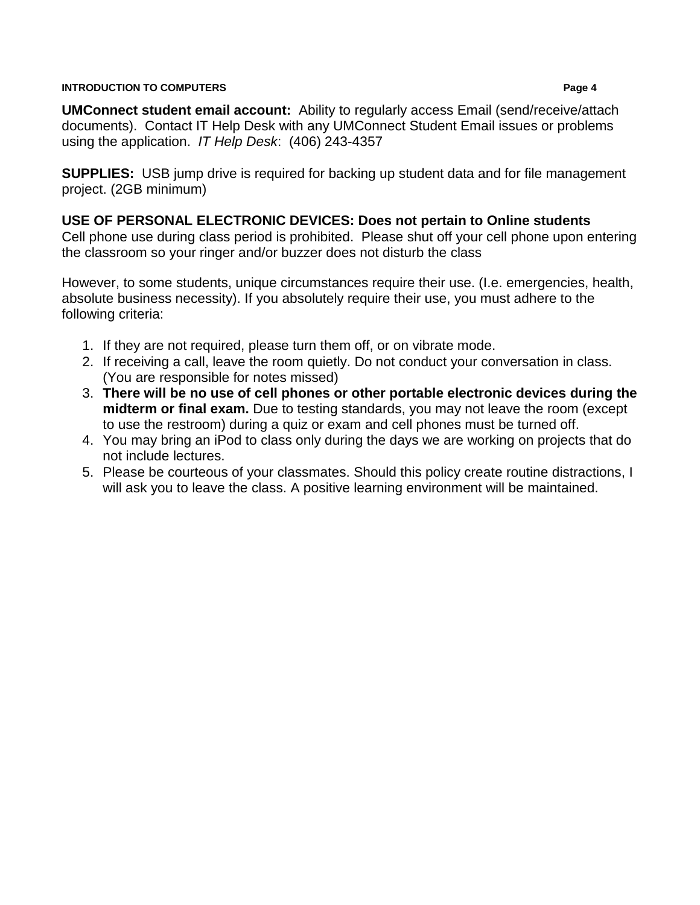**UMConnect student email account:** Ability to regularly access Email (send/receive/attach documents). Contact IT Help Desk with any UMConnect Student Email issues or problems using the application. *IT Help Desk*: (406) 243-4357

**SUPPLIES:** USB jump drive is required for backing up student data and for file management project. (2GB minimum)

### **USE OF PERSONAL ELECTRONIC DEVICES: Does not pertain to Online students**

Cell phone use during class period is prohibited. Please shut off your cell phone upon entering the classroom so your ringer and/or buzzer does not disturb the class

However, to some students, unique circumstances require their use. (I.e. emergencies, health, absolute business necessity). If you absolutely require their use, you must adhere to the following criteria:

- 1. If they are not required, please turn them off, or on vibrate mode.
- 2. If receiving a call, leave the room quietly. Do not conduct your conversation in class. (You are responsible for notes missed)
- 3. **There will be no use of cell phones or other portable electronic devices during the midterm or final exam.** Due to testing standards, you may not leave the room (except to use the restroom) during a quiz or exam and cell phones must be turned off.
- 4. You may bring an iPod to class only during the days we are working on projects that do not include lectures.
- 5. Please be courteous of your classmates. Should this policy create routine distractions, I will ask you to leave the class. A positive learning environment will be maintained.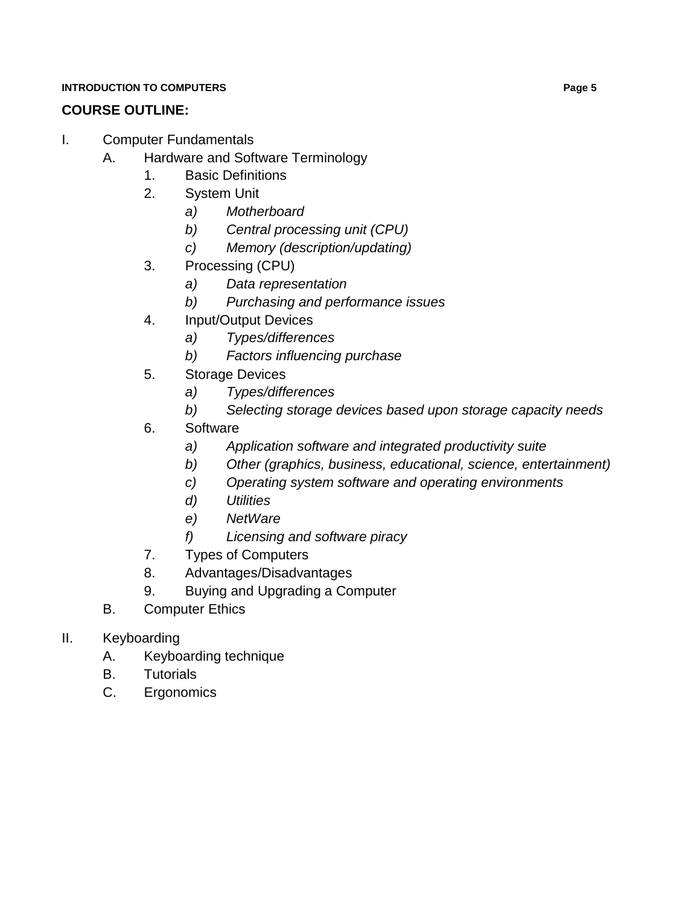## **COURSE OUTLINE:**

- I. Computer Fundamentals
	- A. Hardware and Software Terminology
		- 1. Basic Definitions
		- 2. System Unit
			- *a) Motherboard*
			- *b) Central processing unit (CPU)*
			- *c) Memory (description/updating)*
		- 3. Processing (CPU)
			- *a) Data representation*
			- *b) Purchasing and performance issues*
		- 4. Input/Output Devices
			- *a) Types/differences*
			- *b) Factors influencing purchase*
		- 5. Storage Devices
			- *a) Types/differences*
			- *b) Selecting storage devices based upon storage capacity needs*
		- 6. Software
			- *a) Application software and integrated productivity suite*
			- *b) Other (graphics, business, educational, science, entertainment)*
			- *c) Operating system software and operating environments*
			- *d) Utilities*
			- *e) NetWare*
			- *f) Licensing and software piracy*
		- 7. Types of Computers
		- 8. Advantages/Disadvantages
		- 9. Buying and Upgrading a Computer
	- B. Computer Ethics
- II. Keyboarding
	- A. Keyboarding technique
	- B. Tutorials
	- C. Ergonomics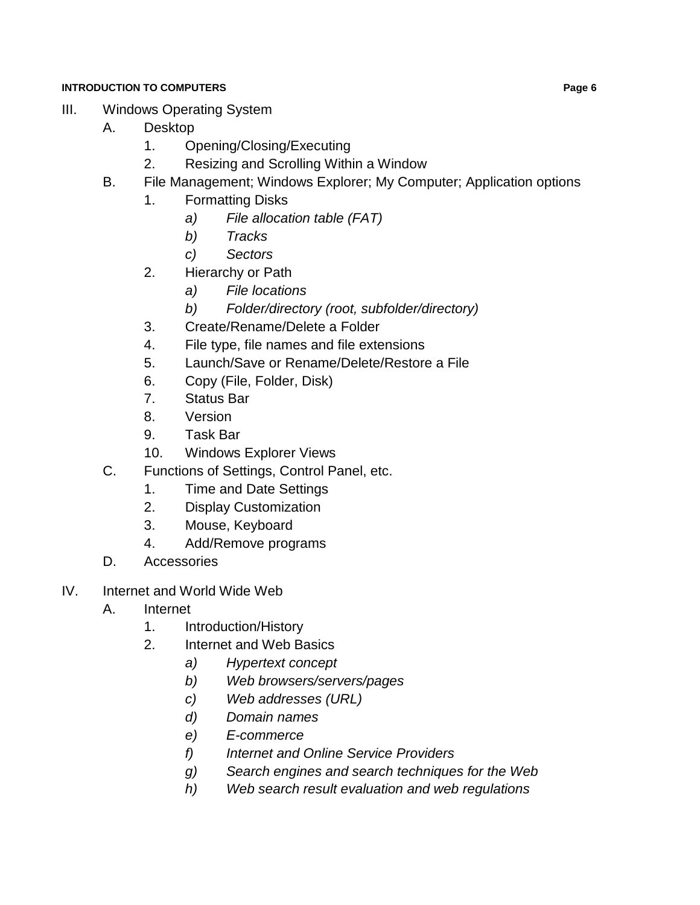- III. Windows Operating System
	- A. Desktop
		- 1. Opening/Closing/Executing
		- 2. Resizing and Scrolling Within a Window
	- B. File Management; Windows Explorer; My Computer; Application options
		- 1. Formatting Disks
			- *a) File allocation table (FAT)*
			- *b) Tracks*
			- *c) Sectors*
		- 2. Hierarchy or Path
			- *a) File locations*
			- *b) Folder/directory (root, subfolder/directory)*
		- 3. Create/Rename/Delete a Folder
		- 4. File type, file names and file extensions
		- 5. Launch/Save or Rename/Delete/Restore a File
		- 6. Copy (File, Folder, Disk)
		- 7. Status Bar
		- 8. Version
		- 9. Task Bar
		- 10. Windows Explorer Views
	- C. Functions of Settings, Control Panel, etc.
		- 1. Time and Date Settings
		- 2. Display Customization
		- 3. Mouse, Keyboard
		- 4. Add/Remove programs
	- D. Accessories
- IV. Internet and World Wide Web
	- A. Internet
		- 1. Introduction/History
		- 2. Internet and Web Basics
			- *a) Hypertext concept*
			- *b) Web browsers/servers/pages*
			- *c) Web addresses (URL)*
			- *d) Domain names*
			- *e) E-commerce*
			- *f) Internet and Online Service Providers*
			- *g) Search engines and search techniques for the Web*
			- *h) Web search result evaluation and web regulations*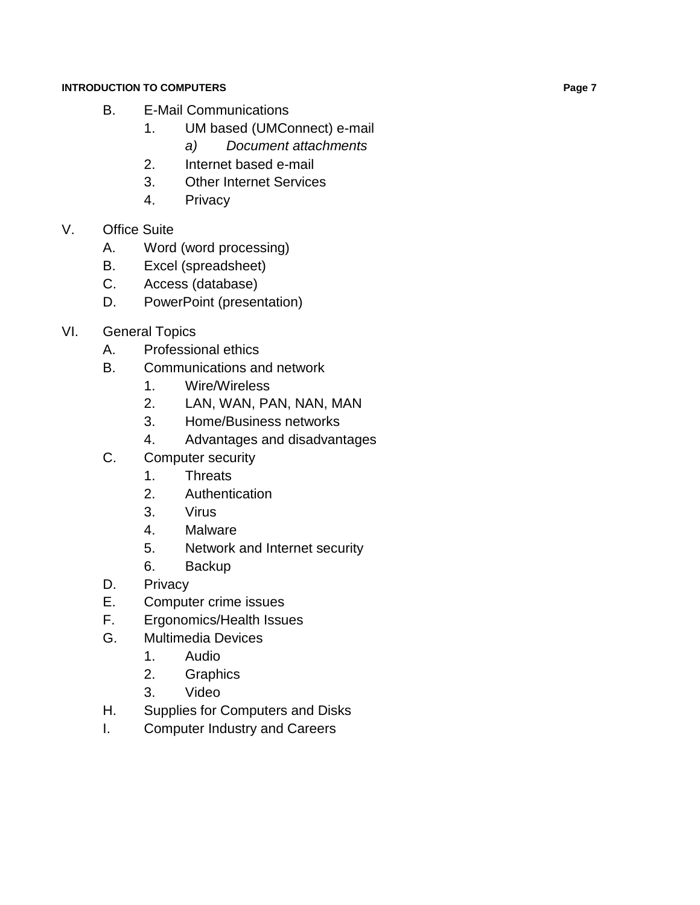- B. E-Mail Communications
	- 1. UM based (UMConnect) e-mail
		- *a) Document attachments*
	- 2. Internet based e-mail
	- 3. Other Internet Services
	- 4. Privacy

## V. Office Suite

- A. Word (word processing)
- B. Excel (spreadsheet)
- C. Access (database)
- D. PowerPoint (presentation)
- VI. General Topics
	- A. Professional ethics
	- B. Communications and network
		- 1. Wire/Wireless
		- 2. LAN, WAN, PAN, NAN, MAN
		- 3. Home/Business networks
		- 4. Advantages and disadvantages
	- C. Computer security
		- 1. Threats
		- 2. Authentication
		- 3. Virus
		- 4. Malware
		- 5. Network and Internet security
		- 6. Backup
	- D. Privacy
	- E. Computer crime issues
	- F. Ergonomics/Health Issues
	- G. Multimedia Devices
		- 1. Audio
		- 2. Graphics
		- 3. Video
	- H. Supplies for Computers and Disks
	- I. Computer Industry and Careers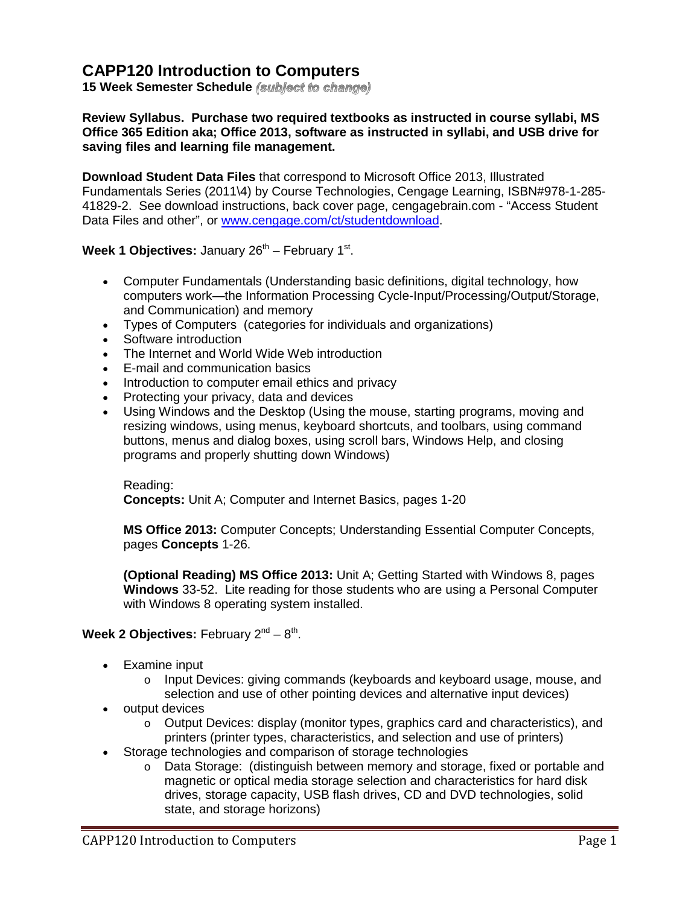## **CAPP120 Introduction to Computers**

**15 Week Semester Schedule**

#### **Review Syllabus. Purchase two required textbooks as instructed in course syllabi, MS Office 365 Edition aka; Office 2013, software as instructed in syllabi, and USB drive for saving files and learning file management.**

**Download Student Data Files** that correspond to Microsoft Office 2013, Illustrated Fundamentals Series (2011\4) by Course Technologies, Cengage Learning, ISBN#978-1-285- 41829-2. See download instructions, back cover page, cengagebrain.com - "Access Student Data Files and other", or [www.cengage.com/ct/studentdownload.](http://www.cengage.com/ct/studentdownload)

#### **Week 1 Objectives:** January 26<sup>th</sup> – February 1<sup>st</sup>.

- Computer Fundamentals (Understanding basic definitions, digital technology, how computers work—the Information Processing Cycle-Input/Processing/Output/Storage, and Communication) and memory
- Types of Computers (categories for individuals and organizations)
- Software introduction
- The Internet and World Wide Web introduction
- E-mail and communication basics
- Introduction to computer email ethics and privacy
- Protecting your privacy, data and devices
- Using Windows and the Desktop (Using the mouse, starting programs, moving and resizing windows, using menus, keyboard shortcuts, and toolbars, using command buttons, menus and dialog boxes, using scroll bars, Windows Help, and closing programs and properly shutting down Windows)

Reading: **Concepts:** Unit A; Computer and Internet Basics, pages 1-20

**MS Office 2013:** Computer Concepts; Understanding Essential Computer Concepts, pages **Concepts** 1-26.

**(Optional Reading) MS Office 2013:** Unit A; Getting Started with Windows 8, pages **Windows** 33-52. Lite reading for those students who are using a Personal Computer with Windows 8 operating system installed.

#### **Week 2 Objectives:** February  $2^{nd} - 8^{th}$ .

- Examine input
	- o Input Devices: giving commands (keyboards and keyboard usage, mouse, and selection and use of other pointing devices and alternative input devices)
- output devices
	- o Output Devices: display (monitor types, graphics card and characteristics), and printers (printer types, characteristics, and selection and use of printers)
- Storage technologies and comparison of storage technologies
	- o Data Storage: (distinguish between memory and storage, fixed or portable and magnetic or optical media storage selection and characteristics for hard disk drives, storage capacity, USB flash drives, CD and DVD technologies, solid state, and storage horizons)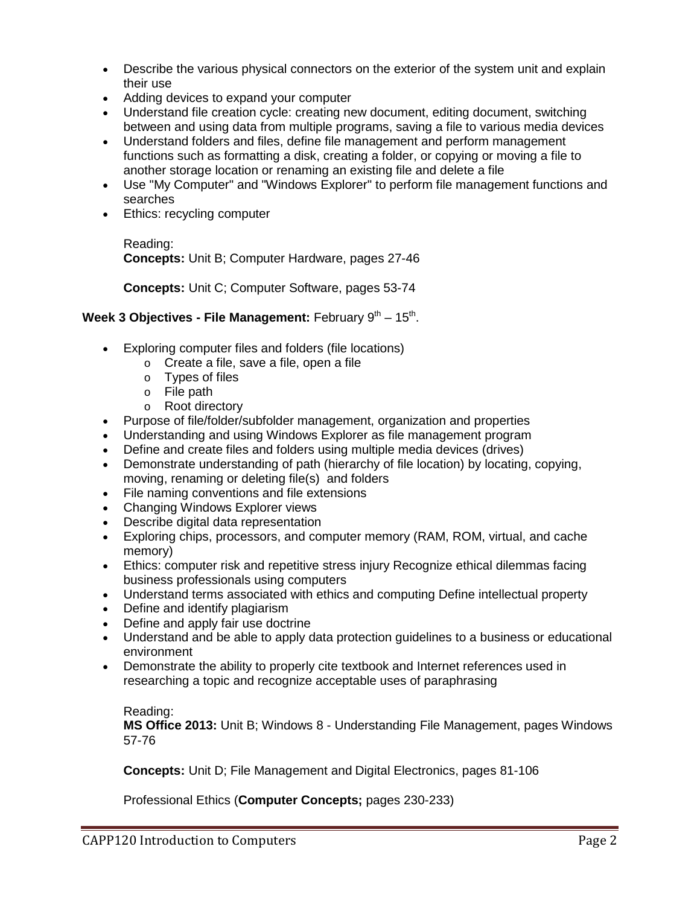- Describe the various physical connectors on the exterior of the system unit and explain their use
- Adding devices to expand your computer
- Understand file creation cycle: creating new document, editing document, switching between and using data from multiple programs, saving a file to various media devices
- Understand folders and files, define file management and perform management functions such as formatting a disk, creating a folder, or copying or moving a file to another storage location or renaming an existing file and delete a file
- Use "My Computer" and "Windows Explorer" to perform file management functions and searches
- Ethics: recycling computer

Reading: **Concepts:** Unit B; Computer Hardware, pages 27-46

**Concepts:** Unit C; Computer Software, pages 53-74

#### **Week 3 Objectives - File Management:** February 9<sup>th</sup> – 15<sup>th</sup>.

- Exploring computer files and folders (file locations)
	- o Create a file, save a file, open a file
	- o Types of files
	- $\circ$  File path
	- o Root directory
- Purpose of file/folder/subfolder management, organization and properties
- Understanding and using Windows Explorer as file management program
- Define and create files and folders using multiple media devices (drives)
- Demonstrate understanding of path (hierarchy of file location) by locating, copying, moving, renaming or deleting file(s) and folders
- File naming conventions and file extensions
- Changing Windows Explorer views
- Describe digital data representation
- Exploring chips, processors, and computer memory (RAM, ROM, virtual, and cache memory)
- Ethics: computer risk and repetitive stress injury Recognize ethical dilemmas facing business professionals using computers
- Understand terms associated with ethics and computing Define intellectual property
- Define and identify plagiarism
- Define and apply fair use doctrine
- Understand and be able to apply data protection guidelines to a business or educational environment
- Demonstrate the ability to properly cite textbook and Internet references used in researching a topic and recognize acceptable uses of paraphrasing

Reading:

**MS Office 2013:** Unit B; Windows 8 - Understanding File Management, pages Windows 57-76

**Concepts:** Unit D; File Management and Digital Electronics, pages 81-106

Professional Ethics (**Computer Concepts;** pages 230-233)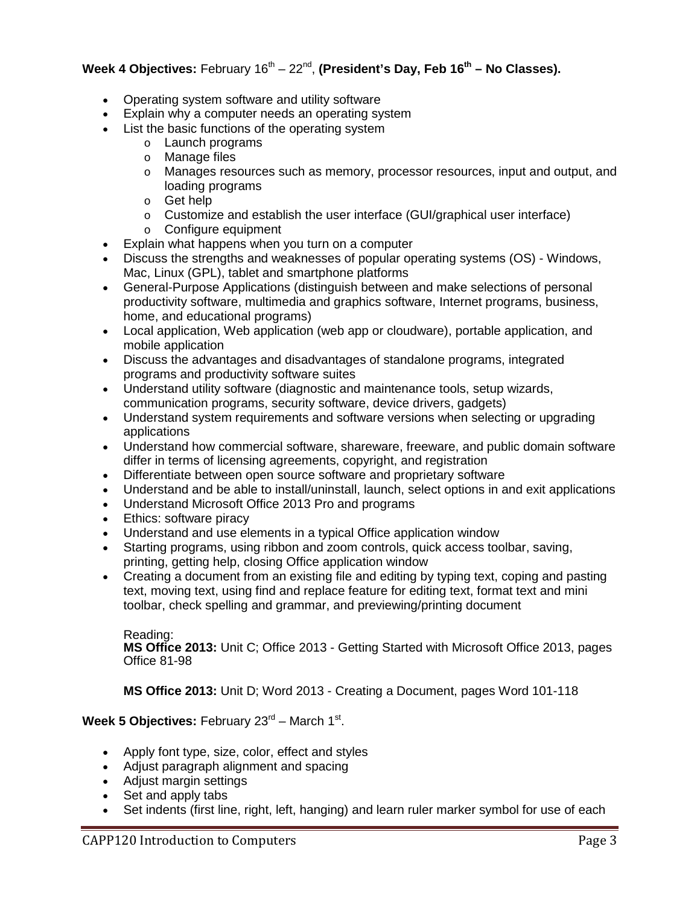#### **Week 4 Objectives:** February 16<sup>th</sup> – 22<sup>nd</sup>, **(President's Day, Feb 16<sup>th</sup> – No Classes).**

- Operating system software and utility software
- Explain why a computer needs an operating system
- List the basic functions of the operating system
	- o Launch programs
	- o Manage files
	- o Manages resources such as memory, processor resources, input and output, and loading programs
	- o Get help
	- o Customize and establish the user interface (GUI/graphical user interface)
	- o Configure equipment
- Explain what happens when you turn on a computer
- Discuss the strengths and weaknesses of popular operating systems (OS) Windows, Mac, Linux (GPL), tablet and smartphone platforms
- General-Purpose Applications (distinguish between and make selections of personal productivity software, multimedia and graphics software, Internet programs, business, home, and educational programs)
- Local application, Web application (web app or cloudware), portable application, and mobile application
- Discuss the advantages and disadvantages of standalone programs, integrated programs and productivity software suites
- Understand utility software (diagnostic and maintenance tools, setup wizards, communication programs, security software, device drivers, gadgets)
- Understand system requirements and software versions when selecting or upgrading applications
- Understand how commercial software, shareware, freeware, and public domain software differ in terms of licensing agreements, copyright, and registration
- Differentiate between open source software and proprietary software
- Understand and be able to install/uninstall, launch, select options in and exit applications
- Understand Microsoft Office 2013 Pro and programs
- Ethics: software piracy
- Understand and use elements in a typical Office application window
- Starting programs, using ribbon and zoom controls, quick access toolbar, saving, printing, getting help, closing Office application window
- Creating a document from an existing file and editing by typing text, coping and pasting text, moving text, using find and replace feature for editing text, format text and mini toolbar, check spelling and grammar, and previewing/printing document

Reading: **MS Office 2013:** Unit C; Office 2013 - Getting Started with Microsoft Office 2013, pages Office 81-98

**MS Office 2013:** Unit D; Word 2013 - Creating a Document, pages Word 101-118

#### **Week 5 Objectives:** February 23<sup>rd</sup> – March 1<sup>st</sup>.

- Apply font type, size, color, effect and styles
- Adjust paragraph alignment and spacing
- Adjust margin settings
- Set and apply tabs
- Set indents (first line, right, left, hanging) and learn ruler marker symbol for use of each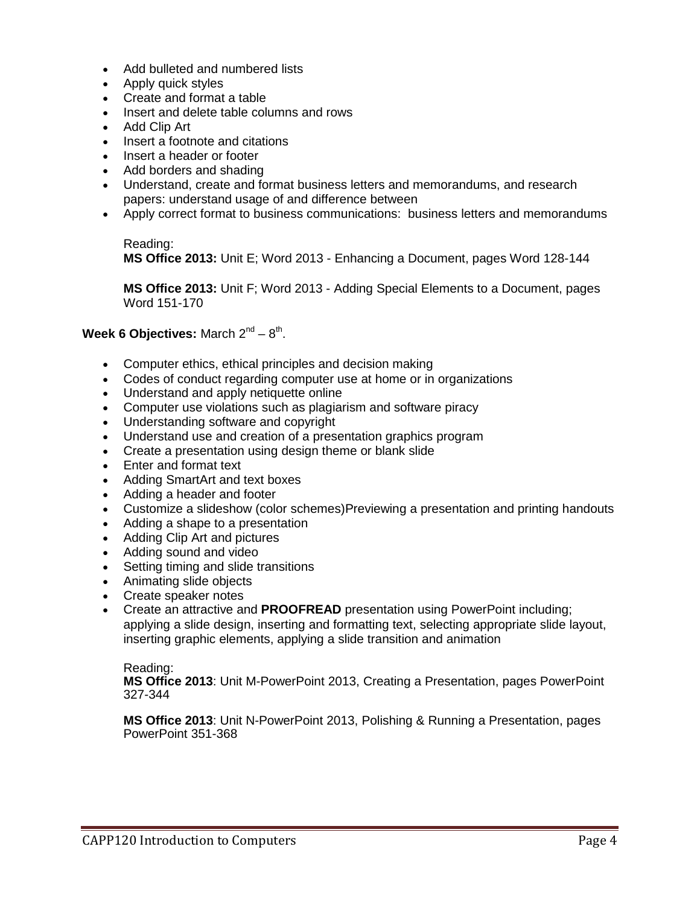- Add bulleted and numbered lists
- Apply quick styles
- Create and format a table
- Insert and delete table columns and rows
- Add Clip Art
- Insert a footnote and citations
- Insert a header or footer
- Add borders and shading
- Understand, create and format business letters and memorandums, and research papers: understand usage of and difference between
- Apply correct format to business communications: business letters and memorandums

Reading: **MS Office 2013:** Unit E; Word 2013 - Enhancing a Document, pages Word 128-144

**MS Office 2013:** Unit F; Word 2013 - Adding Special Elements to a Document, pages Word 151-170

#### **Week 6 Objectives:** March  $2^{nd} - 8^{th}$ .

- Computer ethics, ethical principles and decision making
- Codes of conduct regarding computer use at home or in organizations
- Understand and apply netiquette online
- Computer use violations such as plagiarism and software piracy
- Understanding software and copyright
- Understand use and creation of a presentation graphics program
- Create a presentation using design theme or blank slide
- Enter and format text
- Adding SmartArt and text boxes
- Adding a header and footer
- Customize a slideshow (color schemes)Previewing a presentation and printing handouts
- Adding a shape to a presentation
- Adding Clip Art and pictures
- Adding sound and video
- Setting timing and slide transitions
- Animating slide objects
- Create speaker notes
- Create an attractive and **PROOFREAD** presentation using PowerPoint including; applying a slide design, inserting and formatting text, selecting appropriate slide layout, inserting graphic elements, applying a slide transition and animation

Reading: **MS Office 2013**: Unit M-PowerPoint 2013, Creating a Presentation, pages PowerPoint 327-344

**MS Office 2013**: Unit N-PowerPoint 2013, Polishing & Running a Presentation, pages PowerPoint 351-368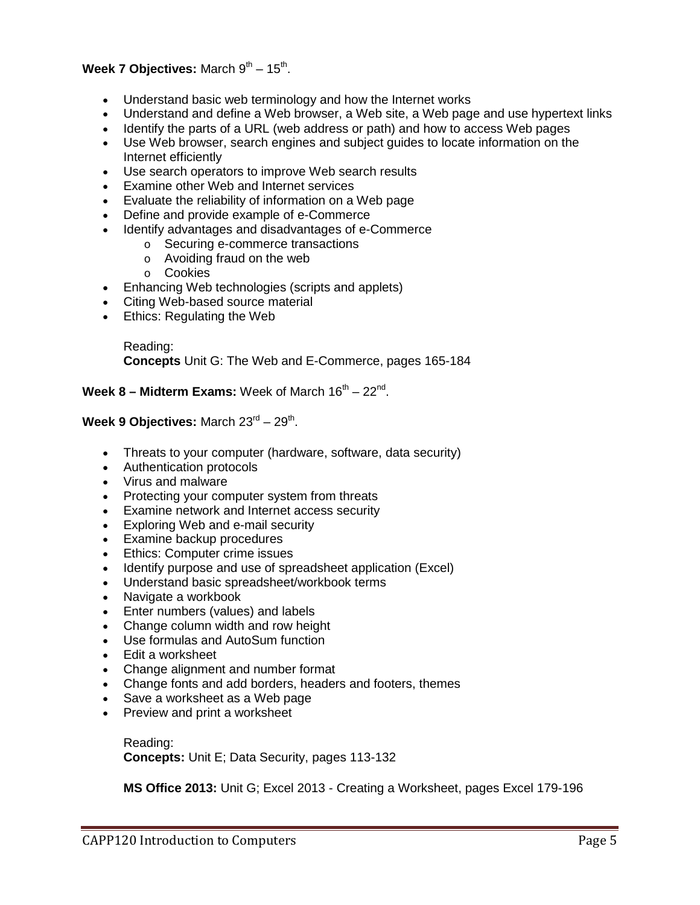#### **Week 7 Objectives:** March  $9^{th} - 15^{th}$ .

- Understand basic web terminology and how the Internet works
- Understand and define a Web browser, a Web site, a Web page and use hypertext links
- Identify the parts of a URL (web address or path) and how to access Web pages
- Use Web browser, search engines and subject guides to locate information on the Internet efficiently
- Use search operators to improve Web search results
- Examine other Web and Internet services
- Evaluate the reliability of information on a Web page
- Define and provide example of e-Commerce
- Identify advantages and disadvantages of e-Commerce
	- o Securing e-commerce transactions
	- o Avoiding fraud on the web
	- o Cookies
- Enhancing Web technologies (scripts and applets)
- Citing Web-based source material
- Ethics: Regulating the Web

Reading: **Concepts** Unit G: The Web and E-Commerce, pages 165-184

**Week 8 – Midterm Exams:** Week of March 16<sup>th</sup> – 22<sup>nd</sup>.

#### **Week 9 Objectives:** March 23<sup>rd</sup> – 29<sup>th</sup>.

- Threats to your computer (hardware, software, data security)
- Authentication protocols
- Virus and malware
- Protecting your computer system from threats
- Examine network and Internet access security
- Exploring Web and e-mail security
- Examine backup procedures
- Ethics: Computer crime issues
- Identify purpose and use of spreadsheet application (Excel)
- Understand basic spreadsheet/workbook terms
- Navigate a workbook
- Enter numbers (values) and labels
- Change column width and row height
- Use formulas and AutoSum function
- Edit a worksheet
- Change alignment and number format
- Change fonts and add borders, headers and footers, themes
- Save a worksheet as a Web page
- Preview and print a worksheet

Reading: **Concepts:** Unit E; Data Security, pages 113-132

**MS Office 2013:** Unit G; Excel 2013 - Creating a Worksheet, pages Excel 179-196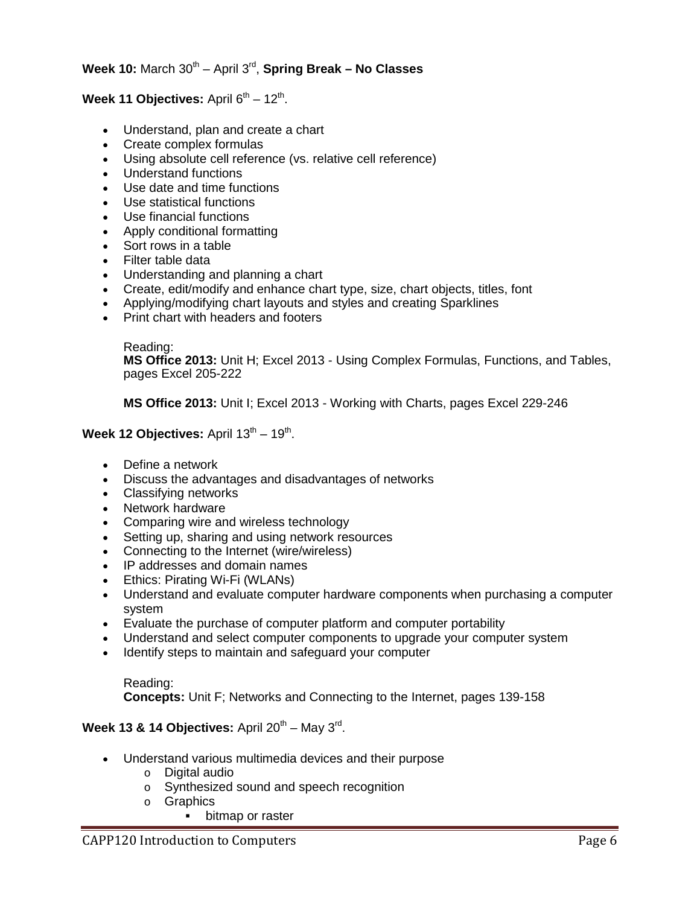#### **Week 10:** March 30th – April 3rd, **Spring Break – No Classes**

#### **Week 11 Objectives:** April  $6^{th} - 12^{th}$ .

- Understand, plan and create a chart
- Create complex formulas
- Using absolute cell reference (vs. relative cell reference)
- Understand functions
- Use date and time functions
- Use statistical functions
- Use financial functions
- Apply conditional formatting
- Sort rows in a table
- Filter table data
- Understanding and planning a chart
- Create, edit/modify and enhance chart type, size, chart objects, titles, font
- Applying/modifying chart layouts and styles and creating Sparklines
- Print chart with headers and footers

#### Reading:

**MS Office 2013:** Unit H; Excel 2013 - Using Complex Formulas, Functions, and Tables, pages Excel 205-222

**MS Office 2013:** Unit I; Excel 2013 - Working with Charts, pages Excel 229-246

#### **Week 12 Objectives:** April 13<sup>th</sup> – 19<sup>th</sup>.

- Define a network
- Discuss the advantages and disadvantages of networks
- Classifying networks
- Network hardware
- Comparing wire and wireless technology
- Setting up, sharing and using network resources
- Connecting to the Internet (wire/wireless)
- IP addresses and domain names
- Ethics: Pirating Wi-Fi (WLANs)
- Understand and evaluate computer hardware components when purchasing a computer system
- Evaluate the purchase of computer platform and computer portability
- Understand and select computer components to upgrade your computer system
- Identify steps to maintain and safeguard your computer

#### Reading:

**Concepts:** Unit F; Networks and Connecting to the Internet, pages 139-158

#### **Week 13 & 14 Objectives:** April  $20^{th}$  – May  $3^{rd}$ .

- Understand various multimedia devices and their purpose
	- o Digital audio
	- o Synthesized sound and speech recognition
	- o Graphics
		- **•** bitmap or raster